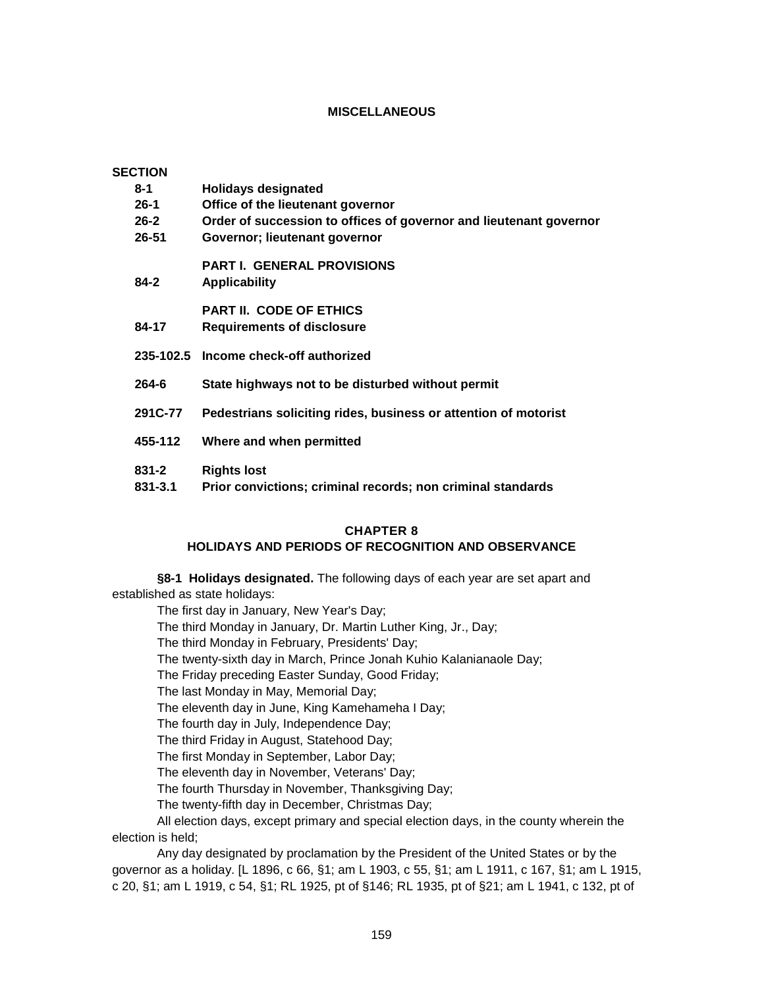## **MISCELLANEOUS**

| <b>SECTION</b> |           |                                                                    |
|----------------|-----------|--------------------------------------------------------------------|
|                | 8-1       | <b>Holidays designated</b>                                         |
|                | $26 - 1$  | Office of the lieutenant governor                                  |
|                | $26 - 2$  | Order of succession to offices of governor and lieutenant governor |
|                | 26-51     | Governor; lieutenant governor                                      |
|                | 84-2      | <b>PART I. GENERAL PROVISIONS</b><br><b>Applicability</b>          |
|                |           | <b>PART II. CODE OF ETHICS</b>                                     |
|                | 84-17     | <b>Requirements of disclosure</b>                                  |
|                |           |                                                                    |
|                |           | 235-102.5 Income check-off authorized                              |
|                | 264-6     | State highways not to be disturbed without permit                  |
|                | 291C-77   | Pedestrians soliciting rides, business or attention of motorist    |
|                | 455-112   | Where and when permitted                                           |
|                | $831 - 2$ | <b>Rights lost</b>                                                 |
|                | 831-3.1   | Prior convictions; criminal records; non criminal standards        |

### **CHAPTER 8**

### **HOLIDAYS AND PERIODS OF RECOGNITION AND OBSERVANCE**

**§8-1 Holidays designated.** The following days of each year are set apart and established as state holidays:

The first day in January, New Year's Day;

The third Monday in January, Dr. Martin Luther King, Jr., Day;

The third Monday in February, Presidents' Day;

The twenty-sixth day in March, Prince Jonah Kuhio Kalanianaole Day;

The Friday preceding Easter Sunday, Good Friday;

The last Monday in May, Memorial Day;

The eleventh day in June, King Kamehameha I Day;

The fourth day in July, Independence Day;

The third Friday in August, Statehood Day;

The first Monday in September, Labor Day;

The eleventh day in November, Veterans' Day;

The fourth Thursday in November, Thanksgiving Day;

The twenty-fifth day in December, Christmas Day;

All election days, except primary and special election days, in the county wherein the election is held;

Any day designated by proclamation by the President of the United States or by the governor as a holiday. [L 1896, c 66, §1; am L 1903, c 55, §1; am L 1911, c 167, §1; am L 1915, c 20, §1; am L 1919, c 54, §1; RL 1925, pt of §146; RL 1935, pt of §21; am L 1941, c 132, pt of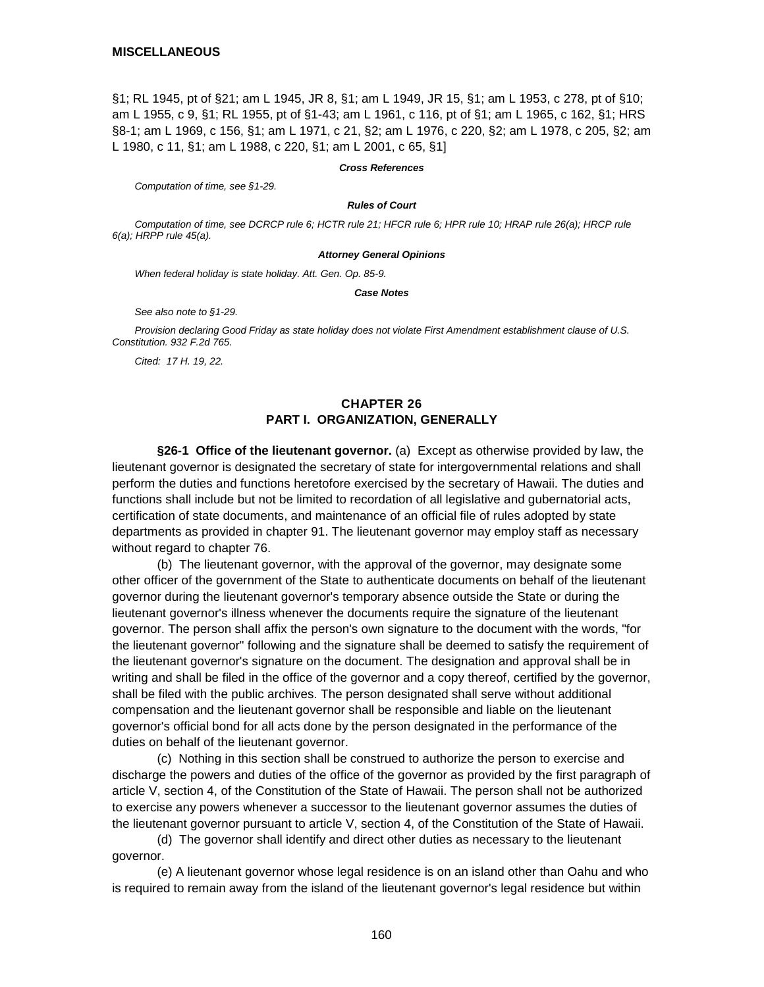§1; RL 1945, pt of §21; am L 1945, JR 8, §1; am L 1949, JR 15, §1; am L 1953, c 278, pt of §10; am L 1955, c 9, §1; RL 1955, pt of §1-43; am L 1961, c 116, pt of §1; am L 1965, c 162, §1; HRS §8-1; am L 1969, c 156, §1; am L 1971, c 21, §2; am L 1976, c 220, §2; am L 1978, c 205, §2; am L 1980, c 11, §1; am L 1988, c 220, §1; am L 2001, c 65, §1]

#### *Cross References*

*Computation of time, see §1-29.*

#### *Rules of Court*

*Computation of time, see DCRCP rule 6; HCTR rule 21; HFCR rule 6; HPR rule 10; HRAP rule 26(a); HRCP rule 6(a); HRPP rule 45(a).*

#### *Attorney General Opinions*

*When federal holiday is state holiday. Att. Gen. Op. 85-9.*

*Case Notes*

*See also note to §1-29.*

*Provision declaring Good Friday as state holiday does not violate First Amendment establishment clause of U.S. Constitution. 932 F.2d 765.*

*Cited: 17 H. 19, 22.*

# **CHAPTER 26 PART I. ORGANIZATION, GENERALLY**

**§26-1 Office of the lieutenant governor.** (a) Except as otherwise provided by law, the lieutenant governor is designated the secretary of state for intergovernmental relations and shall perform the duties and functions heretofore exercised by the secretary of Hawaii. The duties and functions shall include but not be limited to recordation of all legislative and gubernatorial acts, certification of state documents, and maintenance of an official file of rules adopted by state departments as provided in chapter 91. The lieutenant governor may employ staff as necessary without regard to chapter 76.

(b) The lieutenant governor, with the approval of the governor, may designate some other officer of the government of the State to authenticate documents on behalf of the lieutenant governor during the lieutenant governor's temporary absence outside the State or during the lieutenant governor's illness whenever the documents require the signature of the lieutenant governor. The person shall affix the person's own signature to the document with the words, "for the lieutenant governor" following and the signature shall be deemed to satisfy the requirement of the lieutenant governor's signature on the document. The designation and approval shall be in writing and shall be filed in the office of the governor and a copy thereof, certified by the governor, shall be filed with the public archives. The person designated shall serve without additional compensation and the lieutenant governor shall be responsible and liable on the lieutenant governor's official bond for all acts done by the person designated in the performance of the duties on behalf of the lieutenant governor.

(c) Nothing in this section shall be construed to authorize the person to exercise and discharge the powers and duties of the office of the governor as provided by the first paragraph of article V, section 4, of the Constitution of the State of Hawaii. The person shall not be authorized to exercise any powers whenever a successor to the lieutenant governor assumes the duties of the lieutenant governor pursuant to article V, section 4, of the Constitution of the State of Hawaii.

(d) The governor shall identify and direct other duties as necessary to the lieutenant governor.

(e) A lieutenant governor whose legal residence is on an island other than Oahu and who is required to remain away from the island of the lieutenant governor's legal residence but within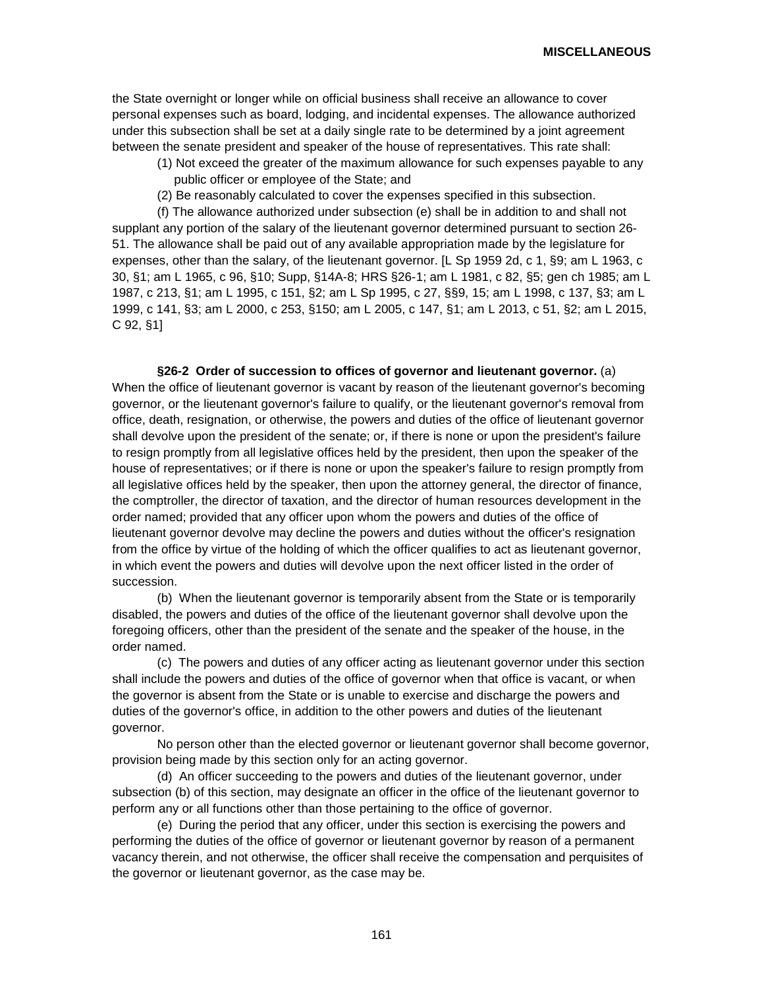the State overnight or longer while on official business shall receive an allowance to cover personal expenses such as board, lodging, and incidental expenses. The allowance authorized under this subsection shall be set at a daily single rate to be determined by a joint agreement between the senate president and speaker of the house of representatives. This rate shall:

- (1) Not exceed the greater of the maximum allowance for such expenses payable to any public officer or employee of the State; and
- (2) Be reasonably calculated to cover the expenses specified in this subsection.

(f) The allowance authorized under subsection (e) shall be in addition to and shall not supplant any portion of the salary of the lieutenant governor determined pursuant to section 26- 51. The allowance shall be paid out of any available appropriation made by the legislature for expenses, other than the salary, of the lieutenant governor. [L Sp 1959 2d, c 1, §9; am L 1963, c 30, §1; am L 1965, c 96, §10; Supp, §14A-8; HRS §26-1; am L 1981, c 82, §5; gen ch 1985; am L 1987, c 213, §1; am L 1995, c 151, §2; am L Sp 1995, c 27, §§9, 15; am L 1998, c 137, §3; am L 1999, c 141, §3; am L 2000, c 253, §150; am L 2005, c 147, §1; am L 2013, c 51, §2; am L 2015, C 92, §1]

**§26-2 Order of succession to offices of governor and lieutenant governor.** (a) When the office of lieutenant governor is vacant by reason of the lieutenant governor's becoming governor, or the lieutenant governor's failure to qualify, or the lieutenant governor's removal from office, death, resignation, or otherwise, the powers and duties of the office of lieutenant governor shall devolve upon the president of the senate; or, if there is none or upon the president's failure to resign promptly from all legislative offices held by the president, then upon the speaker of the house of representatives; or if there is none or upon the speaker's failure to resign promptly from all legislative offices held by the speaker, then upon the attorney general, the director of finance, the comptroller, the director of taxation, and the director of human resources development in the order named; provided that any officer upon whom the powers and duties of the office of lieutenant governor devolve may decline the powers and duties without the officer's resignation from the office by virtue of the holding of which the officer qualifies to act as lieutenant governor, in which event the powers and duties will devolve upon the next officer listed in the order of succession.

(b) When the lieutenant governor is temporarily absent from the State or is temporarily disabled, the powers and duties of the office of the lieutenant governor shall devolve upon the foregoing officers, other than the president of the senate and the speaker of the house, in the order named.

(c) The powers and duties of any officer acting as lieutenant governor under this section shall include the powers and duties of the office of governor when that office is vacant, or when the governor is absent from the State or is unable to exercise and discharge the powers and duties of the governor's office, in addition to the other powers and duties of the lieutenant governor.

No person other than the elected governor or lieutenant governor shall become governor, provision being made by this section only for an acting governor.

(d) An officer succeeding to the powers and duties of the lieutenant governor, under subsection (b) of this section, may designate an officer in the office of the lieutenant governor to perform any or all functions other than those pertaining to the office of governor.

(e) During the period that any officer, under this section is exercising the powers and performing the duties of the office of governor or lieutenant governor by reason of a permanent vacancy therein, and not otherwise, the officer shall receive the compensation and perquisites of the governor or lieutenant governor, as the case may be.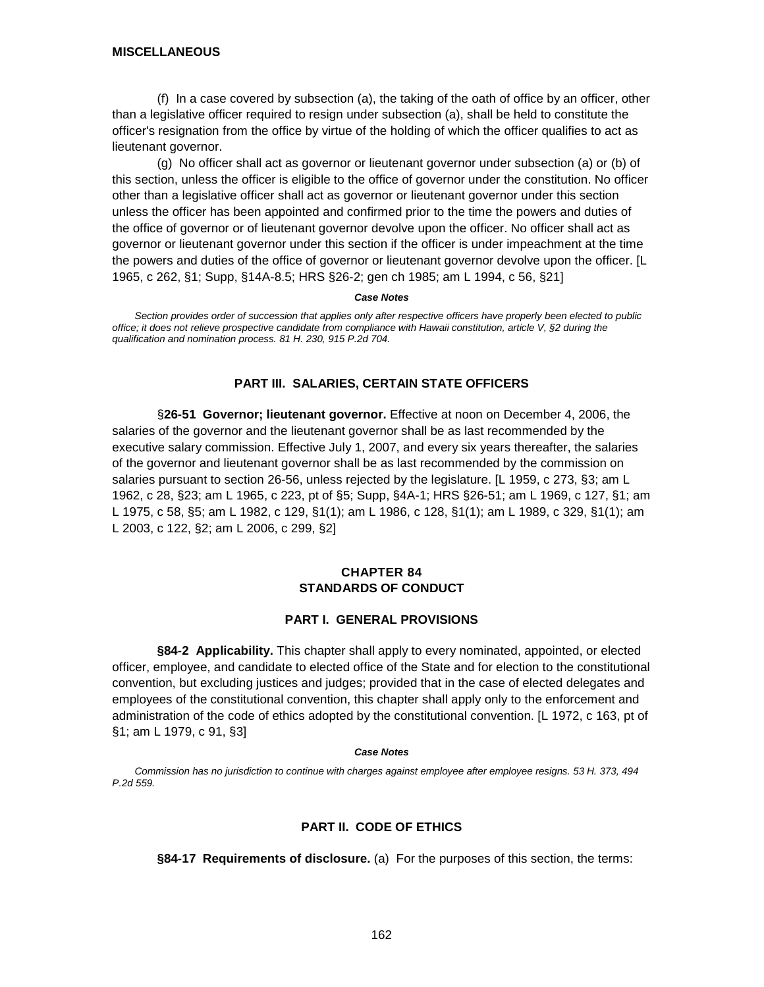(f) In a case covered by subsection (a), the taking of the oath of office by an officer, other than a legislative officer required to resign under subsection (a), shall be held to constitute the officer's resignation from the office by virtue of the holding of which the officer qualifies to act as lieutenant governor.

(g) No officer shall act as governor or lieutenant governor under subsection (a) or (b) of this section, unless the officer is eligible to the office of governor under the constitution. No officer other than a legislative officer shall act as governor or lieutenant governor under this section unless the officer has been appointed and confirmed prior to the time the powers and duties of the office of governor or of lieutenant governor devolve upon the officer. No officer shall act as governor or lieutenant governor under this section if the officer is under impeachment at the time the powers and duties of the office of governor or lieutenant governor devolve upon the officer. [L 1965, c 262, §1; Supp, §14A-8.5; HRS §26-2; gen ch 1985; am L 1994, c 56, §21]

#### *Case Notes*

*Section provides order of succession that applies only after respective officers have properly been elected to public office; it does not relieve prospective candidate from compliance with Hawaii constitution, article V, §2 during the qualification and nomination process. 81 H. 230, 915 P.2d 704.*

# **PART III. SALARIES, CERTAIN STATE OFFICERS**

§**26-51 Governor; lieutenant governor.** Effective at noon on December 4, 2006, the salaries of the governor and the lieutenant governor shall be as last recommended by the executive salary commission. Effective July 1, 2007, and every six years thereafter, the salaries of the governor and lieutenant governor shall be as last recommended by the commission on salaries pursuant to section 26-56, unless rejected by the legislature. [L 1959, c 273, §3; am L 1962, c 28, §23; am L 1965, c 223, pt of §5; Supp, §4A-1; HRS §26-51; am L 1969, c 127, §1; am L 1975, c 58, §5; am L 1982, c 129, §1(1); am L 1986, c 128, §1(1); am L 1989, c 329, §1(1); am L 2003, c 122, §2; am L 2006, c 299, §2]

## **CHAPTER 84 STANDARDS OF CONDUCT**

## **PART I. GENERAL PROVISIONS**

**§84-2 Applicability.** This chapter shall apply to every nominated, appointed, or elected officer, employee, and candidate to elected office of the State and for election to the constitutional convention, but excluding justices and judges; provided that in the case of elected delegates and employees of the constitutional convention, this chapter shall apply only to the enforcement and administration of the code of ethics adopted by the constitutional convention. [L 1972, c 163, pt of §1; am L 1979, c 91, §3]

#### *Case Notes*

*Commission has no jurisdiction to continue with charges against employee after employee resigns. 53 H. 373, 494 P.2d 559.*

## **PART II. CODE OF ETHICS**

**§84-17 Requirements of disclosure.** (a) For the purposes of this section, the terms: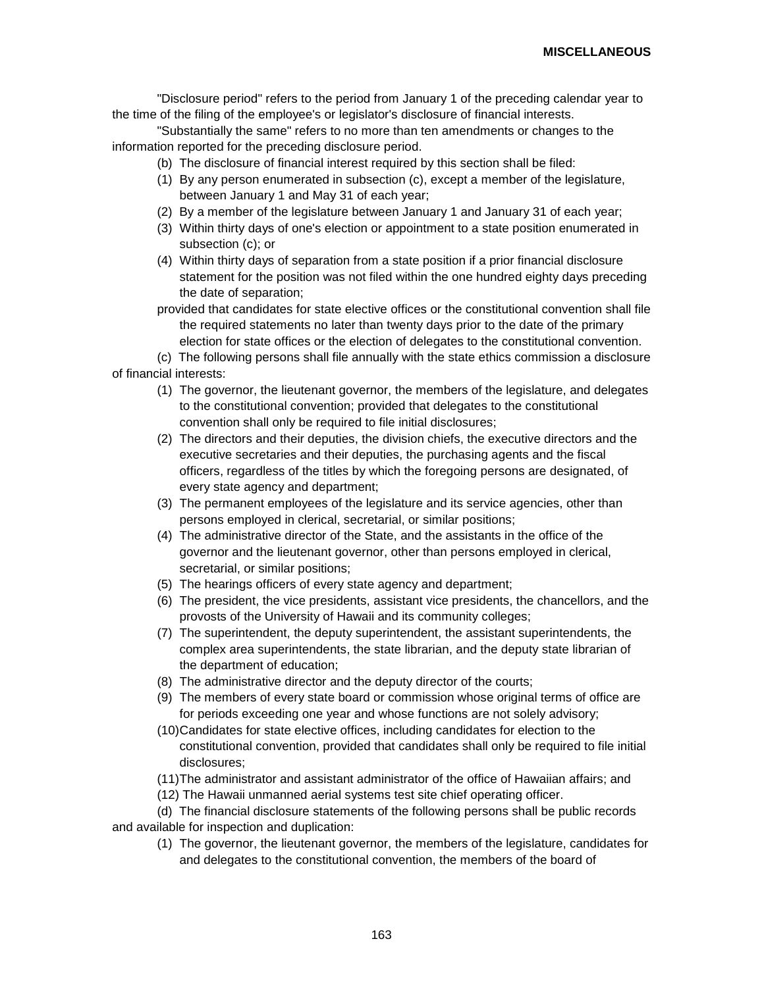"Disclosure period" refers to the period from January 1 of the preceding calendar year to the time of the filing of the employee's or legislator's disclosure of financial interests.

"Substantially the same" refers to no more than ten amendments or changes to the information reported for the preceding disclosure period.

- (b) The disclosure of financial interest required by this section shall be filed:
- (1) By any person enumerated in subsection (c), except a member of the legislature, between January 1 and May 31 of each year;
- (2) By a member of the legislature between January 1 and January 31 of each year;
- (3) Within thirty days of one's election or appointment to a state position enumerated in subsection (c); or
- (4) Within thirty days of separation from a state position if a prior financial disclosure statement for the position was not filed within the one hundred eighty days preceding the date of separation;
- provided that candidates for state elective offices or the constitutional convention shall file the required statements no later than twenty days prior to the date of the primary election for state offices or the election of delegates to the constitutional convention.

(c) The following persons shall file annually with the state ethics commission a disclosure of financial interests:

- (1) The governor, the lieutenant governor, the members of the legislature, and delegates to the constitutional convention; provided that delegates to the constitutional convention shall only be required to file initial disclosures;
- (2) The directors and their deputies, the division chiefs, the executive directors and the executive secretaries and their deputies, the purchasing agents and the fiscal officers, regardless of the titles by which the foregoing persons are designated, of every state agency and department;
- (3) The permanent employees of the legislature and its service agencies, other than persons employed in clerical, secretarial, or similar positions;
- (4) The administrative director of the State, and the assistants in the office of the governor and the lieutenant governor, other than persons employed in clerical, secretarial, or similar positions;
- (5) The hearings officers of every state agency and department;
- (6) The president, the vice presidents, assistant vice presidents, the chancellors, and the provosts of the University of Hawaii and its community colleges;
- (7) The superintendent, the deputy superintendent, the assistant superintendents, the complex area superintendents, the state librarian, and the deputy state librarian of the department of education;
- (8) The administrative director and the deputy director of the courts;
- (9) The members of every state board or commission whose original terms of office are for periods exceeding one year and whose functions are not solely advisory;
- (10)Candidates for state elective offices, including candidates for election to the constitutional convention, provided that candidates shall only be required to file initial disclosures;
- (11)The administrator and assistant administrator of the office of Hawaiian affairs; and
- (12) The Hawaii unmanned aerial systems test site chief operating officer.

(d) The financial disclosure statements of the following persons shall be public records and available for inspection and duplication:

(1) The governor, the lieutenant governor, the members of the legislature, candidates for and delegates to the constitutional convention, the members of the board of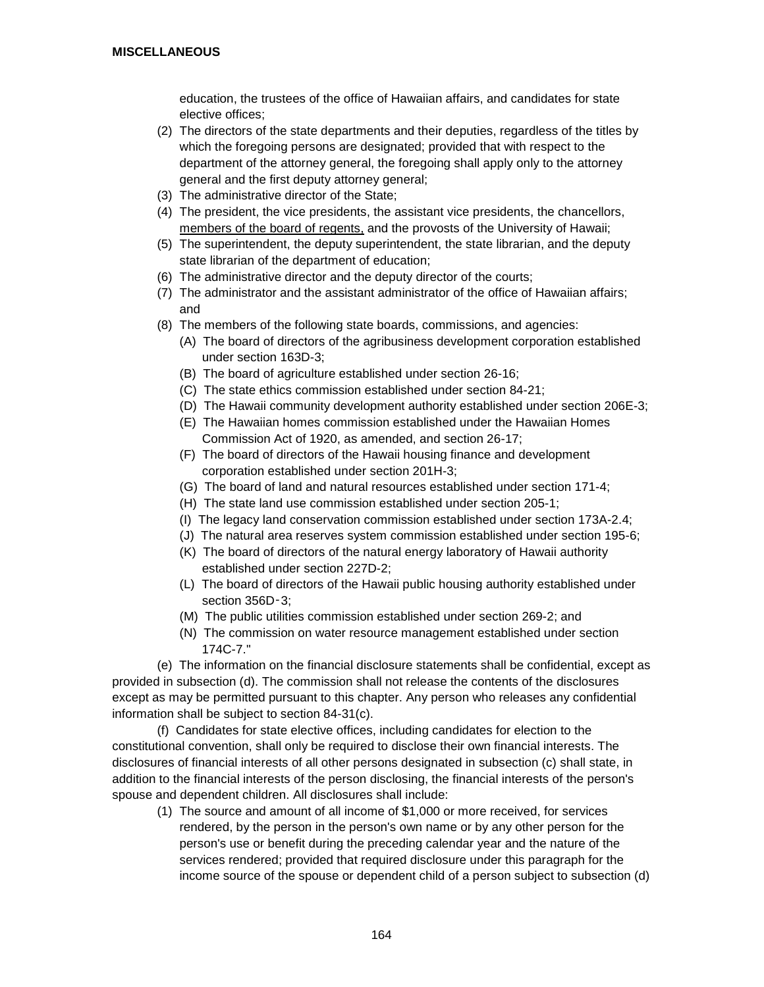education, the trustees of the office of Hawaiian affairs, and candidates for state elective offices;

- (2) The directors of the state departments and their deputies, regardless of the titles by which the foregoing persons are designated; provided that with respect to the department of the attorney general, the foregoing shall apply only to the attorney general and the first deputy attorney general;
- (3) The administrative director of the State;
- (4) The president, the vice presidents, the assistant vice presidents, the chancellors, members of the board of regents, and the provosts of the University of Hawaii;
- (5) The superintendent, the deputy superintendent, the state librarian, and the deputy state librarian of the department of education;
- (6) The administrative director and the deputy director of the courts;
- (7) The administrator and the assistant administrator of the office of Hawaiian affairs; and
- (8) The members of the following state boards, commissions, and agencies:
	- (A) The board of directors of the agribusiness development corporation established under section 163D-3;
	- (B) The board of agriculture established under section 26-16;
	- (C) The state ethics commission established under section 84-21;
	- (D) The Hawaii community development authority established under section 206E-3;
	- (E) The Hawaiian homes commission established under the Hawaiian Homes Commission Act of 1920, as amended, and section 26-17;
	- (F) The board of directors of the Hawaii housing finance and development corporation established under section 201H-3;
	- (G) The board of land and natural resources established under section 171-4;
	- (H) The state land use commission established under section 205-1;
	- (I) The legacy land conservation commission established under section 173A-2.4;
	- (J) The natural area reserves system commission established under section 195-6;
	- (K) The board of directors of the natural energy laboratory of Hawaii authority established under section 227D-2;
	- (L) The board of directors of the Hawaii public housing authority established under section 356D-3;
	- (M) The public utilities commission established under section 269-2; and
	- (N) The commission on water resource management established under section 174C-7."

(e) The information on the financial disclosure statements shall be confidential, except as provided in subsection (d). The commission shall not release the contents of the disclosures except as may be permitted pursuant to this chapter. Any person who releases any confidential information shall be subject to section 84-31(c).

(f) Candidates for state elective offices, including candidates for election to the constitutional convention, shall only be required to disclose their own financial interests. The disclosures of financial interests of all other persons designated in subsection (c) shall state, in addition to the financial interests of the person disclosing, the financial interests of the person's spouse and dependent children. All disclosures shall include:

(1) The source and amount of all income of \$1,000 or more received, for services rendered, by the person in the person's own name or by any other person for the person's use or benefit during the preceding calendar year and the nature of the services rendered; provided that required disclosure under this paragraph for the income source of the spouse or dependent child of a person subject to subsection (d)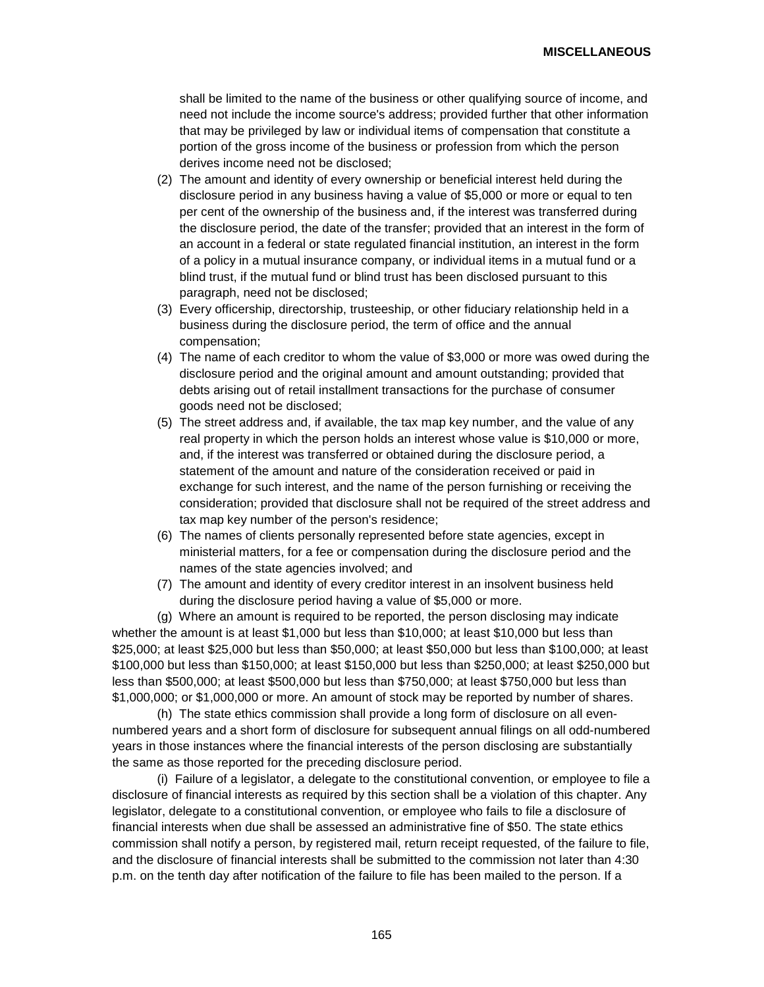shall be limited to the name of the business or other qualifying source of income, and need not include the income source's address; provided further that other information that may be privileged by law or individual items of compensation that constitute a portion of the gross income of the business or profession from which the person derives income need not be disclosed;

- (2) The amount and identity of every ownership or beneficial interest held during the disclosure period in any business having a value of \$5,000 or more or equal to ten per cent of the ownership of the business and, if the interest was transferred during the disclosure period, the date of the transfer; provided that an interest in the form of an account in a federal or state regulated financial institution, an interest in the form of a policy in a mutual insurance company, or individual items in a mutual fund or a blind trust, if the mutual fund or blind trust has been disclosed pursuant to this paragraph, need not be disclosed;
- (3) Every officership, directorship, trusteeship, or other fiduciary relationship held in a business during the disclosure period, the term of office and the annual compensation;
- (4) The name of each creditor to whom the value of \$3,000 or more was owed during the disclosure period and the original amount and amount outstanding; provided that debts arising out of retail installment transactions for the purchase of consumer goods need not be disclosed;
- (5) The street address and, if available, the tax map key number, and the value of any real property in which the person holds an interest whose value is \$10,000 or more, and, if the interest was transferred or obtained during the disclosure period, a statement of the amount and nature of the consideration received or paid in exchange for such interest, and the name of the person furnishing or receiving the consideration; provided that disclosure shall not be required of the street address and tax map key number of the person's residence;
- (6) The names of clients personally represented before state agencies, except in ministerial matters, for a fee or compensation during the disclosure period and the names of the state agencies involved; and
- (7) The amount and identity of every creditor interest in an insolvent business held during the disclosure period having a value of \$5,000 or more.

(g) Where an amount is required to be reported, the person disclosing may indicate whether the amount is at least \$1,000 but less than \$10,000; at least \$10,000 but less than \$25,000; at least \$25,000 but less than \$50,000; at least \$50,000 but less than \$100,000; at least \$100,000 but less than \$150,000; at least \$150,000 but less than \$250,000; at least \$250,000 but less than \$500,000; at least \$500,000 but less than \$750,000; at least \$750,000 but less than \$1,000,000; or \$1,000,000 or more. An amount of stock may be reported by number of shares.

(h) The state ethics commission shall provide a long form of disclosure on all evennumbered years and a short form of disclosure for subsequent annual filings on all odd-numbered years in those instances where the financial interests of the person disclosing are substantially the same as those reported for the preceding disclosure period.

(i) Failure of a legislator, a delegate to the constitutional convention, or employee to file a disclosure of financial interests as required by this section shall be a violation of this chapter. Any legislator, delegate to a constitutional convention, or employee who fails to file a disclosure of financial interests when due shall be assessed an administrative fine of \$50. The state ethics commission shall notify a person, by registered mail, return receipt requested, of the failure to file, and the disclosure of financial interests shall be submitted to the commission not later than 4:30 p.m. on the tenth day after notification of the failure to file has been mailed to the person. If a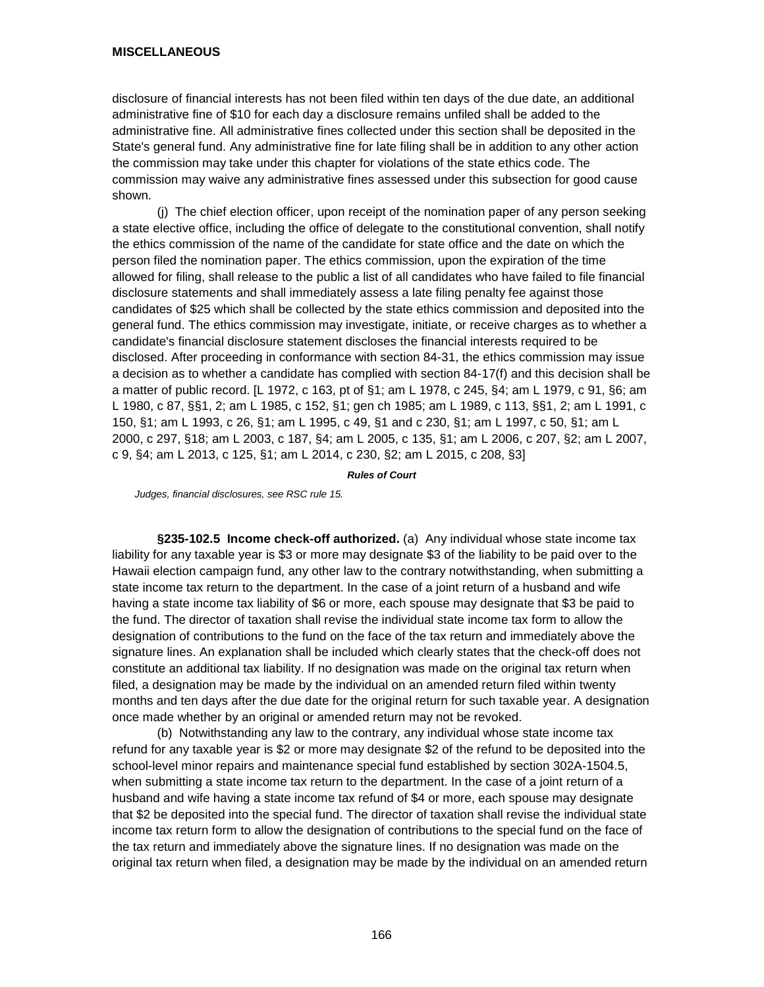disclosure of financial interests has not been filed within ten days of the due date, an additional administrative fine of \$10 for each day a disclosure remains unfiled shall be added to the administrative fine. All administrative fines collected under this section shall be deposited in the State's general fund. Any administrative fine for late filing shall be in addition to any other action the commission may take under this chapter for violations of the state ethics code. The commission may waive any administrative fines assessed under this subsection for good cause shown.

(j) The chief election officer, upon receipt of the nomination paper of any person seeking a state elective office, including the office of delegate to the constitutional convention, shall notify the ethics commission of the name of the candidate for state office and the date on which the person filed the nomination paper. The ethics commission, upon the expiration of the time allowed for filing, shall release to the public a list of all candidates who have failed to file financial disclosure statements and shall immediately assess a late filing penalty fee against those candidates of \$25 which shall be collected by the state ethics commission and deposited into the general fund. The ethics commission may investigate, initiate, or receive charges as to whether a candidate's financial disclosure statement discloses the financial interests required to be disclosed. After proceeding in conformance with section 84-31, the ethics commission may issue a decision as to whether a candidate has complied with section 84-17(f) and this decision shall be a matter of public record. [L 1972, c 163, pt of §1; am L 1978, c 245, §4; am L 1979, c 91, §6; am L 1980, c 87, §§1, 2; am L 1985, c 152, §1; gen ch 1985; am L 1989, c 113, §§1, 2; am L 1991, c 150, §1; am L 1993, c 26, §1; am L 1995, c 49, §1 and c 230, §1; am L 1997, c 50, §1; am L 2000, c 297, §18; am L 2003, c 187, §4; am L 2005, c 135, §1; am L 2006, c 207, §2; am L 2007, c 9, §4; am L 2013, c 125, §1; am L 2014, c 230, §2; am L 2015, c 208, §3]

*Rules of Court*

*Judges, financial disclosures, see RSC rule 15.*

**§235-102.5 Income check-off authorized.** (a) Any individual whose state income tax liability for any taxable year is \$3 or more may designate \$3 of the liability to be paid over to the Hawaii election campaign fund, any other law to the contrary notwithstanding, when submitting a state income tax return to the department. In the case of a joint return of a husband and wife having a state income tax liability of \$6 or more, each spouse may designate that \$3 be paid to the fund. The director of taxation shall revise the individual state income tax form to allow the designation of contributions to the fund on the face of the tax return and immediately above the signature lines. An explanation shall be included which clearly states that the check-off does not constitute an additional tax liability. If no designation was made on the original tax return when filed, a designation may be made by the individual on an amended return filed within twenty months and ten days after the due date for the original return for such taxable year. A designation once made whether by an original or amended return may not be revoked.

(b) Notwithstanding any law to the contrary, any individual whose state income tax refund for any taxable year is \$2 or more may designate \$2 of the refund to be deposited into the school-level minor repairs and maintenance special fund established by section 302A-1504.5, when submitting a state income tax return to the department. In the case of a joint return of a husband and wife having a state income tax refund of \$4 or more, each spouse may designate that \$2 be deposited into the special fund. The director of taxation shall revise the individual state income tax return form to allow the designation of contributions to the special fund on the face of the tax return and immediately above the signature lines. If no designation was made on the original tax return when filed, a designation may be made by the individual on an amended return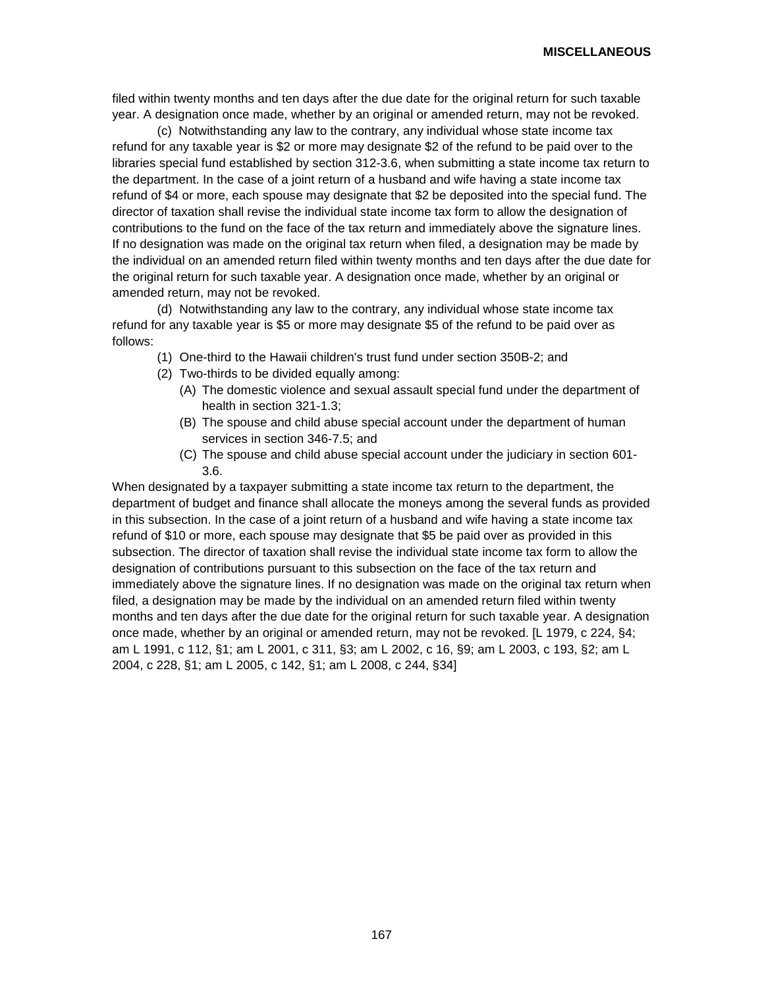filed within twenty months and ten days after the due date for the original return for such taxable year. A designation once made, whether by an original or amended return, may not be revoked.

(c) Notwithstanding any law to the contrary, any individual whose state income tax refund for any taxable year is \$2 or more may designate \$2 of the refund to be paid over to the libraries special fund established by section 312-3.6, when submitting a state income tax return to the department. In the case of a joint return of a husband and wife having a state income tax refund of \$4 or more, each spouse may designate that \$2 be deposited into the special fund. The director of taxation shall revise the individual state income tax form to allow the designation of contributions to the fund on the face of the tax return and immediately above the signature lines. If no designation was made on the original tax return when filed, a designation may be made by the individual on an amended return filed within twenty months and ten days after the due date for the original return for such taxable year. A designation once made, whether by an original or amended return, may not be revoked.

(d) Notwithstanding any law to the contrary, any individual whose state income tax refund for any taxable year is \$5 or more may designate \$5 of the refund to be paid over as follows:

- (1) One-third to the Hawaii children's trust fund under section 350B-2; and
- (2) Two-thirds to be divided equally among:
	- (A) The domestic violence and sexual assault special fund under the department of health in section 321-1.3;
	- (B) The spouse and child abuse special account under the department of human services in section 346-7.5; and
	- (C) The spouse and child abuse special account under the judiciary in section 601- 3.6.

When designated by a taxpayer submitting a state income tax return to the department, the department of budget and finance shall allocate the moneys among the several funds as provided in this subsection. In the case of a joint return of a husband and wife having a state income tax refund of \$10 or more, each spouse may designate that \$5 be paid over as provided in this subsection. The director of taxation shall revise the individual state income tax form to allow the designation of contributions pursuant to this subsection on the face of the tax return and immediately above the signature lines. If no designation was made on the original tax return when filed, a designation may be made by the individual on an amended return filed within twenty months and ten days after the due date for the original return for such taxable year. A designation once made, whether by an original or amended return, may not be revoked. [L 1979, c 224, §4; am L 1991, c 112, §1; am L 2001, c 311, §3; am L 2002, c 16, §9; am L 2003, c 193, §2; am L 2004, c 228, §1; am L 2005, c 142, §1; am L 2008, c 244, §34]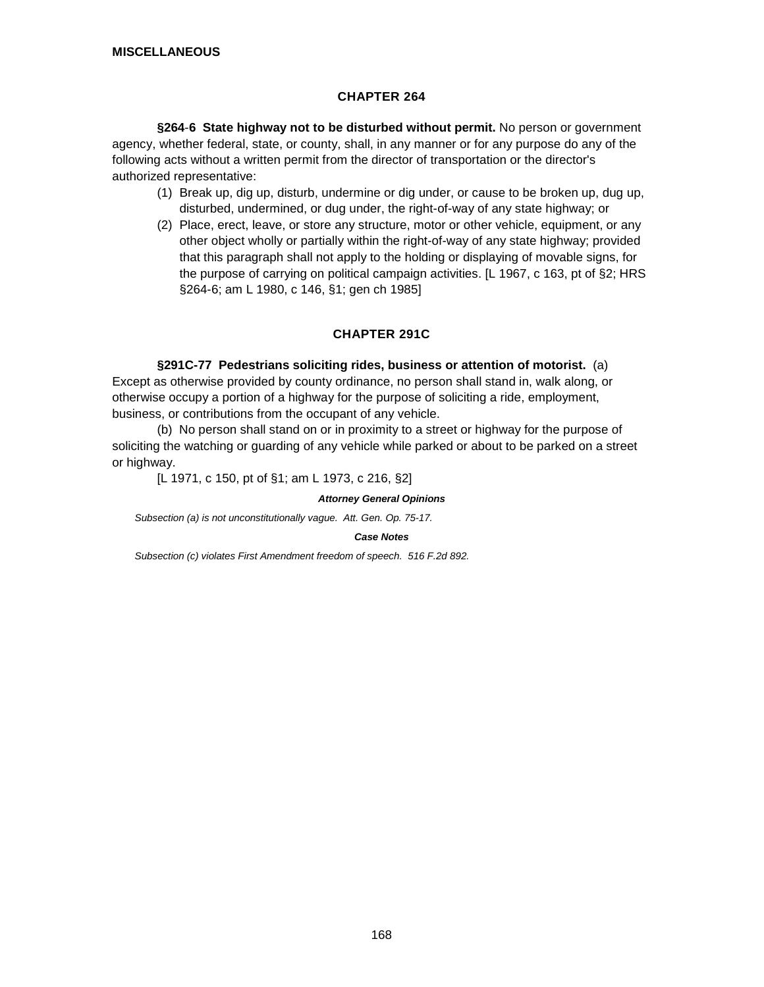# **CHAPTER 264**

**§264**-**6 State highway not to be disturbed without permit.** No person or government agency, whether federal, state, or county, shall, in any manner or for any purpose do any of the following acts without a written permit from the director of transportation or the director's authorized representative:

- (1) Break up, dig up, disturb, undermine or dig under, or cause to be broken up, dug up, disturbed, undermined, or dug under, the right-of-way of any state highway; or
- (2) Place, erect, leave, or store any structure, motor or other vehicle, equipment, or any other object wholly or partially within the right-of-way of any state highway; provided that this paragraph shall not apply to the holding or displaying of movable signs, for the purpose of carrying on political campaign activities. [L 1967, c 163, pt of §2; HRS §264-6; am L 1980, c 146, §1; gen ch 1985]

# **CHAPTER 291C**

## **§291C-77 Pedestrians soliciting rides, business or attention of motorist.** (a)

Except as otherwise provided by county ordinance, no person shall stand in, walk along, or otherwise occupy a portion of a highway for the purpose of soliciting a ride, employment, business, or contributions from the occupant of any vehicle.

(b) No person shall stand on or in proximity to a street or highway for the purpose of soliciting the watching or guarding of any vehicle while parked or about to be parked on a street or highway.

[L 1971, c 150, pt of §1; am L 1973, c 216, §2]

### *Attorney General Opinions*

*Subsection (a) is not unconstitutionally vague. Att. Gen. Op. 75-17.*

### *Case Notes*

*Subsection (c) violates First Amendment freedom of speech. 516 F.2d 892.*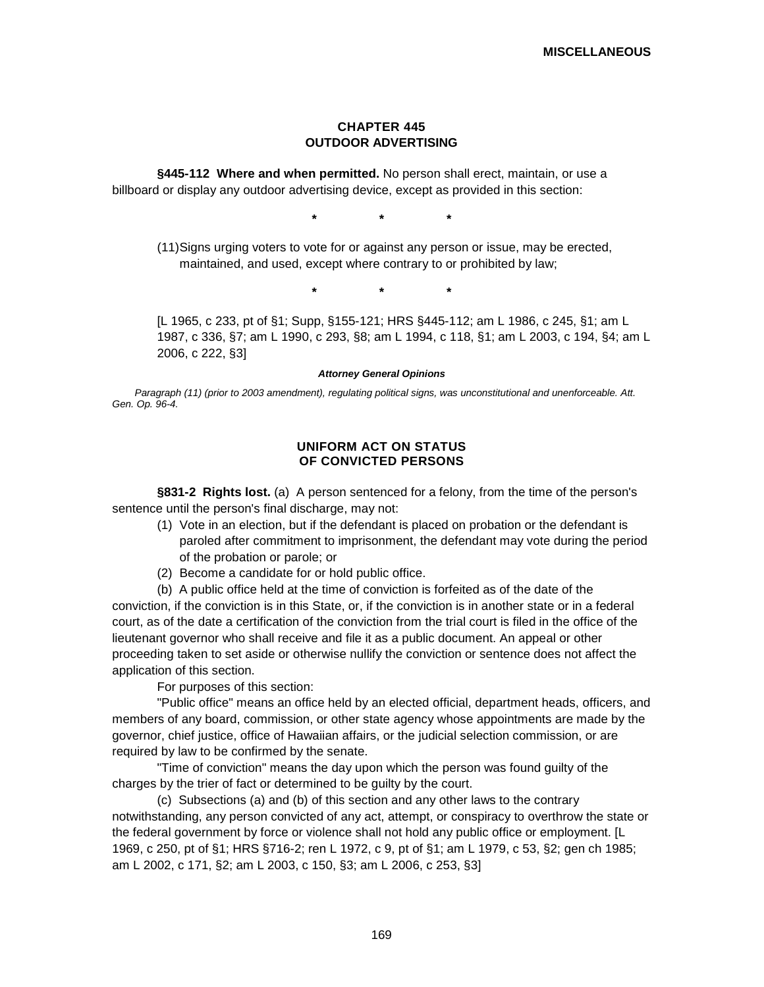## **CHAPTER 445 OUTDOOR ADVERTISING**

**§445-112 Where and when permitted.** No person shall erect, maintain, or use a billboard or display any outdoor advertising device, except as provided in this section:

**\* \* \***

(11)Signs urging voters to vote for or against any person or issue, may be erected, maintained, and used, except where contrary to or prohibited by law;

**\* \* \***

[L 1965, c 233, pt of §1; Supp, §155-121; HRS §445-112; am L 1986, c 245, §1; am L 1987, c 336, §7; am L 1990, c 293, §8; am L 1994, c 118, §1; am L 2003, c 194, §4; am L 2006, c 222, §3]

#### *Attorney General Opinions*

*Paragraph (11) (prior to 2003 amendment), regulating political signs, was unconstitutional and unenforceable. Att. Gen. Op. 96-4.*

### **UNIFORM ACT ON STATUS OF CONVICTED PERSONS**

**§831-2 Rights lost.** (a) A person sentenced for a felony, from the time of the person's sentence until the person's final discharge, may not:

- (1) Vote in an election, but if the defendant is placed on probation or the defendant is paroled after commitment to imprisonment, the defendant may vote during the period of the probation or parole; or
- (2) Become a candidate for or hold public office.
- (b) A public office held at the time of conviction is forfeited as of the date of the

conviction, if the conviction is in this State, or, if the conviction is in another state or in a federal court, as of the date a certification of the conviction from the trial court is filed in the office of the lieutenant governor who shall receive and file it as a public document. An appeal or other proceeding taken to set aside or otherwise nullify the conviction or sentence does not affect the application of this section.

For purposes of this section:

"Public office" means an office held by an elected official, department heads, officers, and members of any board, commission, or other state agency whose appointments are made by the governor, chief justice, office of Hawaiian affairs, or the judicial selection commission, or are required by law to be confirmed by the senate.

"Time of conviction" means the day upon which the person was found guilty of the charges by the trier of fact or determined to be guilty by the court.

(c) Subsections (a) and (b) of this section and any other laws to the contrary notwithstanding, any person convicted of any act, attempt, or conspiracy to overthrow the state or the federal government by force or violence shall not hold any public office or employment. [L 1969, c 250, pt of §1; HRS §716-2; ren L 1972, c 9, pt of §1; am L 1979, c 53, §2; gen ch 1985; am L 2002, c 171, §2; am L 2003, c 150, §3; am L 2006, c 253, §3]